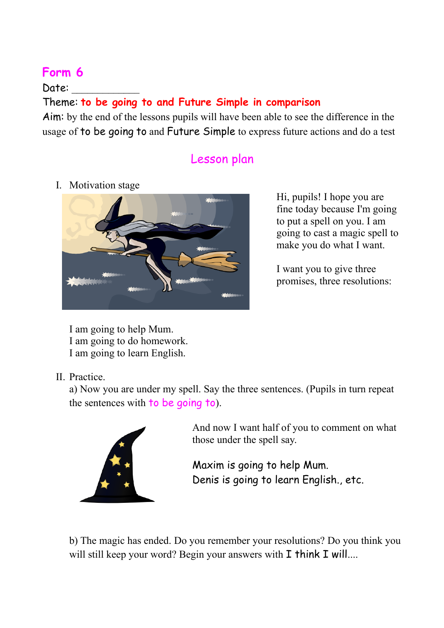## **Form 6**

Date:

## Theme: **to be going to and Future Simple in comparison**

Aim: by the end of the lessons pupils will have been able to see the difference in the usage of to be going to and Future Simple to express future actions and do a test

## Lesson plan

I. Motivation stage



Hi, pupils! I hope you are fine today because I'm going to put a spell on you. I am going to cast a magic spell to make you do what I want.

I want you to give three promises, three resolutions:

I am going to help Mum. I am going to do homework. I am going to learn English.

II. Practice.

a) Now you are under my spell. Say the three sentences. (Pupils in turn repeat the sentences with to be going to).



And now I want half of you to comment on what those under the spell say.

Maxim is going to help Mum. Denis is going to learn English., etc.

b) The magic has ended. Do you remember your resolutions? Do you think you will still keep your word? Begin your answers with I think I will....